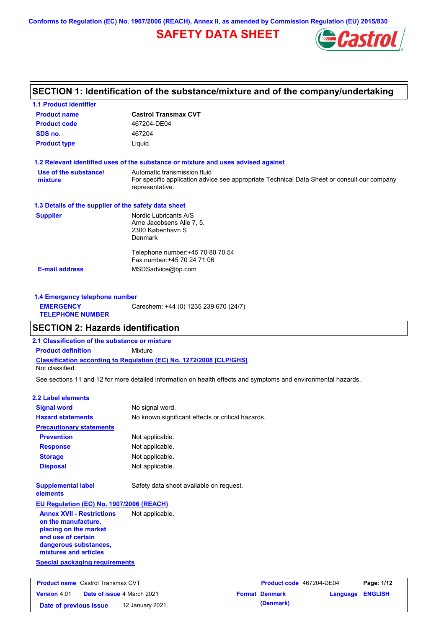**Conforms to Regulation (EC) No. 1907/2006 (REACH), Annex II, as amended by Commission Regulation (EU) 2015/830**

# **SAFETY DATA SHEET**



# **SECTION 1: Identification of the substance/mixture and of the company/undertaking**

| <b>1.1 Product identifier</b>                        |                                                                                                                |
|------------------------------------------------------|----------------------------------------------------------------------------------------------------------------|
| <b>Product name</b>                                  | <b>Castrol Transmax CVT</b>                                                                                    |
| <b>Product code</b>                                  | 467204-DE04                                                                                                    |
| SDS no.                                              | 467204                                                                                                         |
| <b>Product type</b>                                  | Liquid.                                                                                                        |
|                                                      | 1.2 Relevant identified uses of the substance or mixture and uses advised against                              |
| Use of the substance/                                | Automatic transmission fluid                                                                                   |
| mixture                                              | For specific application advice see appropriate Technical Data Sheet or consult our company<br>representative. |
| 1.3 Details of the supplier of the safety data sheet |                                                                                                                |
| <b>Supplier</b>                                      | Nordic Lubricants A/S                                                                                          |
|                                                      | Arne Jacobsens Alle 7, 5.                                                                                      |
|                                                      | 2300 København S<br>Denmark                                                                                    |
|                                                      | Telephone number: +45 70 80 70 54                                                                              |
|                                                      | Fax number: +45 70 24 71 06                                                                                    |
| <b>E-mail address</b>                                | MSDSadvice@bp.com                                                                                              |
|                                                      |                                                                                                                |

| <b>1.4 Emergency telephone number</b>       |                                       |
|---------------------------------------------|---------------------------------------|
| <b>EMERGENCY</b><br><b>TELEPHONE NUMBER</b> | Carechem: +44 (0) 1235 239 670 (24/7) |

# **SECTION 2: Hazards identification**

**Date of previous issue 12 January 2021.** 

**2.1 Classification of the substance or mixture**

**Classification according to Regulation (EC) No. 1272/2008 [CLP/GHS] Product definition** Mixture

Not classified.

See sections 11 and 12 for more detailed information on health effects and symptoms and environmental hazards.

### **2.2 Label elements**

| <b>Signal word</b>                                                                                                                                       | No signal word.                                   |                          |          |                |  |
|----------------------------------------------------------------------------------------------------------------------------------------------------------|---------------------------------------------------|--------------------------|----------|----------------|--|
| <b>Hazard statements</b>                                                                                                                                 | No known significant effects or critical hazards. |                          |          |                |  |
| <b>Precautionary statements</b>                                                                                                                          |                                                   |                          |          |                |  |
| <b>Prevention</b>                                                                                                                                        | Not applicable.                                   |                          |          |                |  |
| <b>Response</b>                                                                                                                                          | Not applicable.                                   |                          |          |                |  |
| <b>Storage</b>                                                                                                                                           | Not applicable.                                   |                          |          |                |  |
| <b>Disposal</b>                                                                                                                                          | Not applicable.                                   |                          |          |                |  |
| <b>Supplemental label</b><br>elements                                                                                                                    | Safety data sheet available on request.           |                          |          |                |  |
| EU Regulation (EC) No. 1907/2006 (REACH)                                                                                                                 |                                                   |                          |          |                |  |
| <b>Annex XVII - Restrictions</b><br>on the manufacture,<br>placing on the market<br>and use of certain<br>dangerous substances,<br>mixtures and articles | Not applicable.                                   |                          |          |                |  |
| <b>Special packaging requirements</b>                                                                                                                    |                                                   |                          |          |                |  |
| <b>Product name</b> Castrol Transmax CVT                                                                                                                 |                                                   | Product code 467204-DE04 |          | Page: 1/12     |  |
| <b>Version 4.01</b><br>Date of issue 4 March 2021                                                                                                        |                                                   | <b>Format Denmark</b>    | Language | <b>ENGLISH</b> |  |

| <b>Product code</b> 467204-DE04 |                  | Page: 1/12 |
|---------------------------------|------------------|------------|
| <b>Format Denmark</b>           | Language ENGLISH |            |
| (Denmark)                       |                  |            |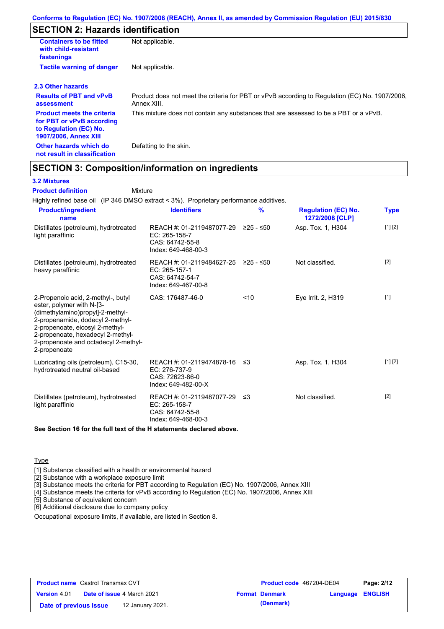# **SECTION 2: Hazards identification**

| <b>Containers to be fitted</b><br>with child-resistant<br>fastenings                                                     | Not applicable.                                                                                               |
|--------------------------------------------------------------------------------------------------------------------------|---------------------------------------------------------------------------------------------------------------|
| <b>Tactile warning of danger</b>                                                                                         | Not applicable.                                                                                               |
| 2.3 Other hazards                                                                                                        |                                                                                                               |
| <b>Results of PBT and vPvB</b><br>assessment                                                                             | Product does not meet the criteria for PBT or vPvB according to Regulation (EC) No. 1907/2006,<br>Annex XIII. |
| <b>Product meets the criteria</b><br>for PBT or vPvB according<br>to Regulation (EC) No.<br><b>1907/2006, Annex XIII</b> | This mixture does not contain any substances that are assessed to be a PBT or a vPvB.                         |
| Other hazards which do<br>not result in classification                                                                   | Defatting to the skin.                                                                                        |

# **SECTION 3: Composition/information on ingredients**

Mixture

### **3.2 Mixtures**

**Product definition**

Highly refined base oil (IP 346 DMSO extract < 3%). Proprietary performance additives.

| <b>Product/ingredient</b><br>name                                                                                                                                                                                                                                       | <b>Identifiers</b>                                                                               | $\frac{9}{6}$ | <b>Regulation (EC) No.</b><br>1272/2008 [CLP] | Type              |
|-------------------------------------------------------------------------------------------------------------------------------------------------------------------------------------------------------------------------------------------------------------------------|--------------------------------------------------------------------------------------------------|---------------|-----------------------------------------------|-------------------|
| Distillates (petroleum), hydrotreated<br>light paraffinic                                                                                                                                                                                                               | REACH #: 01-2119487077-29<br>$EC: 265-158-7$<br>CAS: 64742-55-8<br>Index: 649-468-00-3           | ≥25 - ≤50     | Asp. Tox. 1, H304                             | [1] [2]           |
| Distillates (petroleum), hydrotreated<br>heavy paraffinic                                                                                                                                                                                                               | REACH #: 01-2119484627-25 ≥25 - ≤50<br>$EC: 265-157-1$<br>CAS: 64742-54-7<br>Index: 649-467-00-8 |               | Not classified.                               | $\lceil 2 \rceil$ |
| 2-Propenoic acid, 2-methyl-, butyl<br>ester, polymer with N-[3-<br>(dimethylamino)propyl]-2-methyl-<br>2-propenamide, dodecyl 2-methyl-<br>2-propenoate, eicosyl 2-methyl-<br>2-propenoate, hexadecyl 2-methyl-<br>2-propenoate and octadecyl 2-methyl-<br>2-propenoate | CAS: 176487-46-0                                                                                 | < 10          | Eye Irrit. 2, H319                            | $[1]$             |
| Lubricating oils (petroleum), C15-30,<br>hydrotreated neutral oil-based                                                                                                                                                                                                 | REACH #: 01-2119474878-16<br>EC: 276-737-9<br>CAS: 72623-86-0<br>Index: 649-482-00-X             | ≤3            | Asp. Tox. 1, H304                             | [1] [2]           |
| Distillates (petroleum), hydrotreated<br>light paraffinic                                                                                                                                                                                                               | REACH #: 01-2119487077-29 ≤3<br>EC: 265-158-7<br>CAS: 64742-55-8<br>Index: 649-468-00-3          |               | Not classified.                               | [2]               |

**See Section 16 for the full text of the H statements declared above.**

### **Type**

[1] Substance classified with a health or environmental hazard

[2] Substance with a workplace exposure limit

[3] Substance meets the criteria for PBT according to Regulation (EC) No. 1907/2006, Annex XIII

[4] Substance meets the criteria for vPvB according to Regulation (EC) No. 1907/2006, Annex XIII

[5] Substance of equivalent concern

[6] Additional disclosure due to company policy

Occupational exposure limits, if available, are listed in Section 8.

| <b>Product name</b> Castrol Transmax CVT |  | <b>Product code</b> 467204-DE04   |                       | Page: 2/12              |  |
|------------------------------------------|--|-----------------------------------|-----------------------|-------------------------|--|
| <b>Version 4.01</b>                      |  | <b>Date of issue 4 March 2021</b> | <b>Format Denmark</b> | <b>Language ENGLISH</b> |  |
| Date of previous issue                   |  | 12 January 2021.                  | (Denmark)             |                         |  |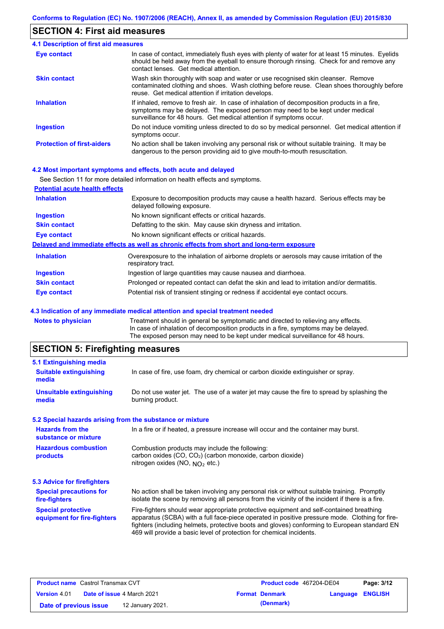### **SECTION 4: First aid measures**

#### Do not induce vomiting unless directed to do so by medical personnel. Get medical attention if symptoms occur. In case of contact, immediately flush eyes with plenty of water for at least 15 minutes. Eyelids should be held away from the eyeball to ensure thorough rinsing. Check for and remove any contact lenses. Get medical attention. **4.1 Description of first aid measures** If inhaled, remove to fresh air. In case of inhalation of decomposition products in a fire, symptoms may be delayed. The exposed person may need to be kept under medical surveillance for 48 hours. Get medical attention if symptoms occur. **Ingestion Inhalation Eye contact Protection of first-aiders** No action shall be taken involving any personal risk or without suitable training. It may be dangerous to the person providing aid to give mouth-to-mouth resuscitation. **Skin contact** Wash skin thoroughly with soap and water or use recognised skin cleanser. Remove contaminated clothing and shoes. Wash clothing before reuse. Clean shoes thoroughly before reuse. Get medical attention if irritation develops.

### **4.2 Most important symptoms and effects, both acute and delayed**

|                                       | See Section 11 for more detailed information on health effects and symptoms.                                        |
|---------------------------------------|---------------------------------------------------------------------------------------------------------------------|
| <b>Potential acute health effects</b> |                                                                                                                     |
| <b>Inhalation</b>                     | Exposure to decomposition products may cause a health hazard. Serious effects may be<br>delayed following exposure. |
| <b>Ingestion</b>                      | No known significant effects or critical hazards.                                                                   |
| <b>Skin contact</b>                   | Defatting to the skin. May cause skin dryness and irritation.                                                       |
| Eye contact                           | No known significant effects or critical hazards.                                                                   |
|                                       | Delayed and immediate effects as well as chronic effects from short and long-term exposure                          |
| <b>Inhalation</b>                     | Overexposure to the inhalation of airborne droplets or aerosols may cause irritation of the<br>respiratory tract.   |
| <b>Ingestion</b>                      | Ingestion of large quantities may cause nausea and diarrhoea.                                                       |
| <b>Skin contact</b>                   | Prolonged or repeated contact can defat the skin and lead to irritation and/or dermatitis.                          |
| <b>Eye contact</b>                    | Potential risk of transient stinging or redness if accidental eye contact occurs.                                   |

#### **4.3 Indication of any immediate medical attention and special treatment needed**

| <b>Notes to physician</b> | Treatment should in general be symptomatic and directed to relieving any effects.   |
|---------------------------|-------------------------------------------------------------------------------------|
|                           | In case of inhalation of decomposition products in a fire, symptoms may be delayed. |
|                           | The exposed person may need to be kept under medical surveillance for 48 hours.     |
|                           |                                                                                     |

## **SECTION 5: Firefighting measures**

| 5.1 Extinguishing media                                   |                                                                                                                                                                                                                                                                                                                                                                   |
|-----------------------------------------------------------|-------------------------------------------------------------------------------------------------------------------------------------------------------------------------------------------------------------------------------------------------------------------------------------------------------------------------------------------------------------------|
| <b>Suitable extinguishing</b><br>media                    | In case of fire, use foam, dry chemical or carbon dioxide extinguisher or spray.                                                                                                                                                                                                                                                                                  |
| <b>Unsuitable extinguishing</b><br>media                  | Do not use water jet. The use of a water jet may cause the fire to spread by splashing the<br>burning product.                                                                                                                                                                                                                                                    |
| 5.2 Special hazards arising from the substance or mixture |                                                                                                                                                                                                                                                                                                                                                                   |
| <b>Hazards from the</b><br>substance or mixture           | In a fire or if heated, a pressure increase will occur and the container may burst.                                                                                                                                                                                                                                                                               |
| <b>Hazardous combustion</b><br>products                   | Combustion products may include the following:<br>carbon oxides (CO, CO <sub>2</sub> ) (carbon monoxide, carbon dioxide)<br>nitrogen oxides (NO, $NO2$ etc.)                                                                                                                                                                                                      |
| <b>5.3 Advice for firefighters</b>                        |                                                                                                                                                                                                                                                                                                                                                                   |
| <b>Special precautions for</b><br>fire-fighters           | No action shall be taken involving any personal risk or without suitable training. Promptly<br>isolate the scene by removing all persons from the vicinity of the incident if there is a fire.                                                                                                                                                                    |
| <b>Special protective</b><br>equipment for fire-fighters  | Fire-fighters should wear appropriate protective equipment and self-contained breathing<br>apparatus (SCBA) with a full face-piece operated in positive pressure mode. Clothing for fire-<br>fighters (including helmets, protective boots and gloves) conforming to European standard EN<br>469 will provide a basic level of protection for chemical incidents. |
|                                                           |                                                                                                                                                                                                                                                                                                                                                                   |

| <b>Product name</b> Castrol Transmax CVT |  | <b>Product code</b> 467204-DE04   |  | Page: 3/12            |                         |  |
|------------------------------------------|--|-----------------------------------|--|-----------------------|-------------------------|--|
| <b>Version 4.01</b>                      |  | <b>Date of issue 4 March 2021</b> |  | <b>Format Denmark</b> | <b>Language ENGLISH</b> |  |
| Date of previous issue                   |  | 12 January 2021.                  |  | (Denmark)             |                         |  |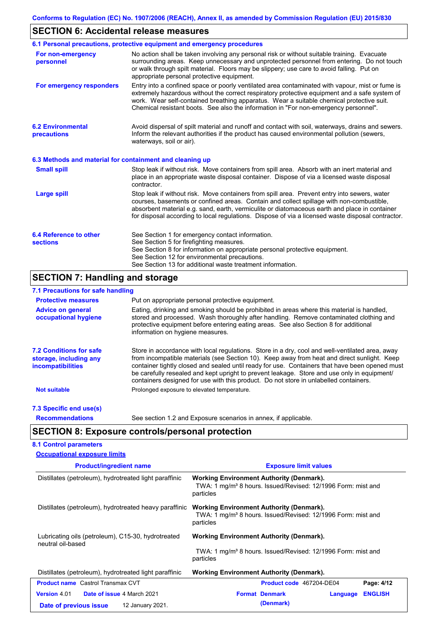# **SECTION 6: Accidental release measures**

|                                                          | 6.1 Personal precautions, protective equipment and emergency procedures                                                                                                                                                                                                                                                                                                                        |
|----------------------------------------------------------|------------------------------------------------------------------------------------------------------------------------------------------------------------------------------------------------------------------------------------------------------------------------------------------------------------------------------------------------------------------------------------------------|
| For non-emergency<br>personnel                           | No action shall be taken involving any personal risk or without suitable training. Evacuate<br>surrounding areas. Keep unnecessary and unprotected personnel from entering. Do not touch<br>or walk through spilt material. Floors may be slippery; use care to avoid falling. Put on<br>appropriate personal protective equipment.                                                            |
| For emergency responders                                 | Entry into a confined space or poorly ventilated area contaminated with vapour, mist or fume is<br>extremely hazardous without the correct respiratory protective equipment and a safe system of<br>work. Wear self-contained breathing apparatus. Wear a suitable chemical protective suit.<br>Chemical resistant boots. See also the information in "For non-emergency personnel".           |
| <b>6.2 Environmental</b><br>precautions                  | Avoid dispersal of spilt material and runoff and contact with soil, waterways, drains and sewers.<br>Inform the relevant authorities if the product has caused environmental pollution (sewers,<br>waterways, soil or air).                                                                                                                                                                    |
| 6.3 Methods and material for containment and cleaning up |                                                                                                                                                                                                                                                                                                                                                                                                |
| <b>Small spill</b>                                       | Stop leak if without risk. Move containers from spill area. Absorb with an inert material and<br>place in an appropriate waste disposal container. Dispose of via a licensed waste disposal<br>contractor.                                                                                                                                                                                     |
| <b>Large spill</b>                                       | Stop leak if without risk. Move containers from spill area. Prevent entry into sewers, water<br>courses, basements or confined areas. Contain and collect spillage with non-combustible,<br>absorbent material e.g. sand, earth, vermiculite or diatomaceous earth and place in container<br>for disposal according to local regulations. Dispose of via a licensed waste disposal contractor. |
| 6.4 Reference to other                                   | See Section 1 for emergency contact information.                                                                                                                                                                                                                                                                                                                                               |
| <b>sections</b>                                          | See Section 5 for firefighting measures.<br>See Section 8 for information on appropriate personal protective equipment.                                                                                                                                                                                                                                                                        |
|                                                          | See Section 12 for environmental precautions.                                                                                                                                                                                                                                                                                                                                                  |
|                                                          | See Section 13 for additional waste treatment information.                                                                                                                                                                                                                                                                                                                                     |

# **SECTION 7: Handling and storage**

## **7.1 Precautions for safe handling**

| <b>Protective measures</b>                                                           | Put on appropriate personal protective equipment.                                                                                                                                                                                                                                                                                                                                                                                                                                        |
|--------------------------------------------------------------------------------------|------------------------------------------------------------------------------------------------------------------------------------------------------------------------------------------------------------------------------------------------------------------------------------------------------------------------------------------------------------------------------------------------------------------------------------------------------------------------------------------|
| <b>Advice on general</b><br>occupational hygiene                                     | Eating, drinking and smoking should be prohibited in areas where this material is handled.<br>stored and processed. Wash thoroughly after handling. Remove contaminated clothing and<br>protective equipment before entering eating areas. See also Section 8 for additional<br>information on hygiene measures.                                                                                                                                                                         |
| <b>7.2 Conditions for safe</b><br>storage, including any<br><i>incompatibilities</i> | Store in accordance with local requiations. Store in a dry, cool and well-ventilated area, away<br>from incompatible materials (see Section 10). Keep away from heat and direct sunlight. Keep<br>container tightly closed and sealed until ready for use. Containers that have been opened must<br>be carefully resealed and kept upright to prevent leakage. Store and use only in equipment/<br>containers designed for use with this product. Do not store in unlabelled containers. |
| <b>Not suitable</b>                                                                  | Prolonged exposure to elevated temperature.                                                                                                                                                                                                                                                                                                                                                                                                                                              |
| 7.3 Specific end use(s)                                                              |                                                                                                                                                                                                                                                                                                                                                                                                                                                                                          |
| <b>Recommendations</b>                                                               | See section 1.2 and Exposure scenarios in annex, if applicable.                                                                                                                                                                                                                                                                                                                                                                                                                          |

# **SECTION 8: Exposure controls/personal protection**

### **8.1 Control parameters**

| <b>Occupational exposure limits</b>                      |                                                                                                                                          |  |  |  |
|----------------------------------------------------------|------------------------------------------------------------------------------------------------------------------------------------------|--|--|--|
| <b>Product/ingredient name</b>                           | <b>Exposure limit values</b>                                                                                                             |  |  |  |
| Distillates (petroleum), hydrotreated light paraffinic   | <b>Working Environment Authority (Denmark).</b><br>TWA: 1 mg/m <sup>3</sup> 8 hours. Issued/Revised: 12/1996 Form: mist and<br>particles |  |  |  |
| Distillates (petroleum), hydrotreated heavy paraffinic   | Working Environment Authority (Denmark).<br>TWA: 1 mg/m <sup>3</sup> 8 hours. Issued/Revised: 12/1996 Form: mist and<br>particles        |  |  |  |
| Lubricating oils (petroleum), C15-30, hydrotreated       | <b>Working Environment Authority (Denmark).</b>                                                                                          |  |  |  |
| neutral oil-based                                        | TWA: 1 mg/m <sup>3</sup> 8 hours. Issued/Revised: 12/1996 Form: mist and<br>particles                                                    |  |  |  |
| Distillates (petroleum), hydrotreated light paraffinic   | <b>Working Environment Authority (Denmark).</b>                                                                                          |  |  |  |
| <b>Product name</b> Castrol Transmax CVT                 | <b>Product code</b> 467204-DE04<br>Page: 4/12                                                                                            |  |  |  |
| <b>Date of issue 4 March 2021</b><br><b>Version 4.01</b> | <b>Format Denmark</b><br><b>ENGLISH</b><br>Language                                                                                      |  |  |  |
| 12 January 2021.<br>Date of previous issue               | (Denmark)                                                                                                                                |  |  |  |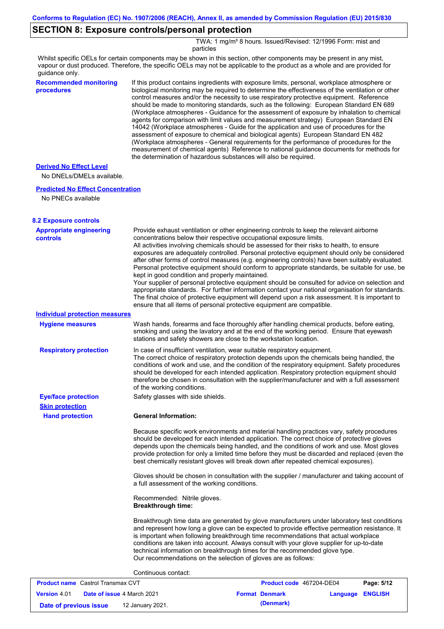# **SECTION 8: Exposure controls/personal protection**

TWA: 1 mg/m<sup>3</sup> 8 hours. Issued/Revised: 12/1996 Form: mist and particles

Whilst specific OELs for certain components may be shown in this section, other components may be present in any mist, vapour or dust produced. Therefore, the specific OELs may not be applicable to the product as a whole and are provided for guidance only.

| <b>Recommended monitoring</b><br>procedures                 | If this product contains ingredients with exposure limits, personal, workplace atmosphere or<br>biological monitoring may be required to determine the effectiveness of the ventilation or other<br>control measures and/or the necessity to use respiratory protective equipment. Reference<br>should be made to monitoring standards, such as the following: European Standard EN 689<br>(Workplace atmospheres - Guidance for the assessment of exposure by inhalation to chemical<br>agents for comparison with limit values and measurement strategy) European Standard EN<br>14042 (Workplace atmospheres - Guide for the application and use of procedures for the<br>assessment of exposure to chemical and biological agents) European Standard EN 482<br>(Workplace atmospheres - General requirements for the performance of procedures for the<br>measurement of chemical agents) Reference to national guidance documents for methods for<br>the determination of hazardous substances will also be required. |
|-------------------------------------------------------------|----------------------------------------------------------------------------------------------------------------------------------------------------------------------------------------------------------------------------------------------------------------------------------------------------------------------------------------------------------------------------------------------------------------------------------------------------------------------------------------------------------------------------------------------------------------------------------------------------------------------------------------------------------------------------------------------------------------------------------------------------------------------------------------------------------------------------------------------------------------------------------------------------------------------------------------------------------------------------------------------------------------------------|
| <b>Derived No Effect Level</b><br>No DNELs/DMELs available. |                                                                                                                                                                                                                                                                                                                                                                                                                                                                                                                                                                                                                                                                                                                                                                                                                                                                                                                                                                                                                            |
| <b>Predicted No Effect Concentration</b>                    |                                                                                                                                                                                                                                                                                                                                                                                                                                                                                                                                                                                                                                                                                                                                                                                                                                                                                                                                                                                                                            |
| No PNECs available                                          |                                                                                                                                                                                                                                                                                                                                                                                                                                                                                                                                                                                                                                                                                                                                                                                                                                                                                                                                                                                                                            |
| <b>8.2 Exposure controls</b>                                |                                                                                                                                                                                                                                                                                                                                                                                                                                                                                                                                                                                                                                                                                                                                                                                                                                                                                                                                                                                                                            |
| <b>Appropriate engineering</b><br><b>controls</b>           | Provide exhaust ventilation or other engineering controls to keep the relevant airborne<br>concentrations below their respective occupational exposure limits.<br>All activities involving chemicals should be assessed for their risks to health, to ensure<br>exposures are adequately controlled. Personal protective equipment should only be considered<br>after other forms of control measures (e.g. engineering controls) have been suitably evaluated.<br>Personal protective equipment should conform to appropriate standards, be suitable for use, be<br>kept in good condition and properly maintained.<br>Your supplier of personal protective equipment should be consulted for advice on selection and<br>appropriate standards. For further information contact your national organisation for standards.<br>The final choice of protective equipment will depend upon a risk assessment. It is important to<br>ensure that all items of personal protective equipment are compatible.                    |
| <b>Individual protection measures</b>                       |                                                                                                                                                                                                                                                                                                                                                                                                                                                                                                                                                                                                                                                                                                                                                                                                                                                                                                                                                                                                                            |
| <b>Hygiene measures</b>                                     | Wash hands, forearms and face thoroughly after handling chemical products, before eating,<br>smoking and using the lavatory and at the end of the working period. Ensure that eyewash<br>stations and safety showers are close to the workstation location.                                                                                                                                                                                                                                                                                                                                                                                                                                                                                                                                                                                                                                                                                                                                                                |
| <b>Respiratory protection</b>                               | In case of insufficient ventilation, wear suitable respiratory equipment.<br>The correct choice of respiratory protection depends upon the chemicals being handled, the<br>conditions of work and use, and the condition of the respiratory equipment. Safety procedures<br>should be developed for each intended application. Respiratory protection equipment should<br>therefore be chosen in consultation with the supplier/manufacturer and with a full assessment<br>of the working conditions.                                                                                                                                                                                                                                                                                                                                                                                                                                                                                                                      |
| <b>Eye/face protection</b>                                  | Safety glasses with side shields.                                                                                                                                                                                                                                                                                                                                                                                                                                                                                                                                                                                                                                                                                                                                                                                                                                                                                                                                                                                          |
| <b>Skin protection</b><br><b>Hand protection</b>            | <b>General Information:</b>                                                                                                                                                                                                                                                                                                                                                                                                                                                                                                                                                                                                                                                                                                                                                                                                                                                                                                                                                                                                |
|                                                             | Because specific work environments and material handling practices vary, safety procedures<br>should be developed for each intended application. The correct choice of protective gloves<br>depends upon the chemicals being handled, and the conditions of work and use. Most gloves<br>provide protection for only a limited time before they must be discarded and replaced (even the<br>best chemically resistant gloves will break down after repeated chemical exposures).                                                                                                                                                                                                                                                                                                                                                                                                                                                                                                                                           |
|                                                             | Gloves should be chosen in consultation with the supplier / manufacturer and taking account of<br>a full assessment of the working conditions.                                                                                                                                                                                                                                                                                                                                                                                                                                                                                                                                                                                                                                                                                                                                                                                                                                                                             |
|                                                             | Recommended: Nitrile gloves.<br><b>Breakthrough time:</b>                                                                                                                                                                                                                                                                                                                                                                                                                                                                                                                                                                                                                                                                                                                                                                                                                                                                                                                                                                  |
|                                                             | Breakthrough time data are generated by glove manufacturers under laboratory test conditions<br>and represent how long a glove can be expected to provide effective permeation resistance. It<br>is important when following breakthrough time recommendations that actual workplace<br>conditions are taken into account. Always consult with your glove supplier for up-to-date<br>technical information on breakthrough times for the recommended glove type.<br>Our recommendations on the selection of gloves are as follows:                                                                                                                                                                                                                                                                                                                                                                                                                                                                                         |
|                                                             | Continuous contact:                                                                                                                                                                                                                                                                                                                                                                                                                                                                                                                                                                                                                                                                                                                                                                                                                                                                                                                                                                                                        |

| <b>Product name</b> Castrol Transmax CVT                 |  | <b>Product code</b> 467204-DE04 |                       | Page: 5/12              |  |  |
|----------------------------------------------------------|--|---------------------------------|-----------------------|-------------------------|--|--|
| <b>Date of issue 4 March 2021</b><br><b>Version 4.01</b> |  |                                 | <b>Format Denmark</b> | <b>Language ENGLISH</b> |  |  |
| 12 January 2021.<br>Date of previous issue               |  |                                 |                       | (Denmark)               |  |  |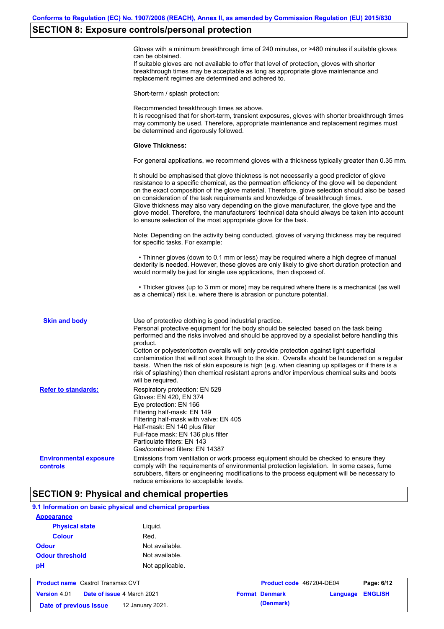### **SECTION 8: Exposure controls/personal protection**

Gloves with a minimum breakthrough time of 240 minutes, or >480 minutes if suitable gloves can be obtained.

If suitable gloves are not available to offer that level of protection, gloves with shorter breakthrough times may be acceptable as long as appropriate glove maintenance and replacement regimes are determined and adhered to.

Short-term / splash protection:

Recommended breakthrough times as above. It is recognised that for short-term, transient exposures, gloves with shorter breakthrough times may commonly be used. Therefore, appropriate maintenance and replacement regimes must be determined and rigorously followed. **Glove Thickness:** For general applications, we recommend gloves with a thickness typically greater than 0.35 mm. It should be emphasised that glove thickness is not necessarily a good predictor of glove resistance to a specific chemical, as the permeation efficiency of the glove will be dependent on the exact composition of the glove material. Therefore, glove selection should also be based on consideration of the task requirements and knowledge of breakthrough times. Glove thickness may also vary depending on the glove manufacturer, the glove type and the glove model. Therefore, the manufacturers' technical data should always be taken into account to ensure selection of the most appropriate glove for the task. Note: Depending on the activity being conducted, gloves of varying thickness may be required for specific tasks. For example: • Thinner gloves (down to 0.1 mm or less) may be required where a high degree of manual dexterity is needed. However, these gloves are only likely to give short duration protection and would normally be just for single use applications, then disposed of. • Thicker gloves (up to 3 mm or more) may be required where there is a mechanical (as well as a chemical) risk i.e. where there is abrasion or puncture potential. Use of protective clothing is good industrial practice. Personal protective equipment for the body should be selected based on the task being performed and the risks involved and should be approved by a specialist before handling this product. Cotton or polyester/cotton overalls will only provide protection against light superficial contamination that will not soak through to the skin. Overalls should be laundered on a regular basis. When the risk of skin exposure is high (e.g. when cleaning up spillages or if there is a risk of splashing) then chemical resistant aprons and/or impervious chemical suits and boots will be required. **Environmental exposure controls** Emissions from ventilation or work process equipment should be checked to ensure they comply with the requirements of environmental protection legislation. In some cases, fume scrubbers, filters or engineering modifications to the process equipment will be necessary to reduce emissions to acceptable levels. **Skin and body Refer to standards:** Respiratory protection: EN 529 Gloves: EN 420, EN 374 Eye protection: EN 166 Filtering half-mask: EN 149 Filtering half-mask with valve: EN 405 Half-mask: EN 140 plus filter Full-face mask: EN 136 plus filter Particulate filters: EN 143 Gas/combined filters: EN 14387

## **SECTION 9: Physical and chemical properties**

**Date of previous issue (Denmark)** 12 January 2021.

| 9.1 Information on basic physical and chemical properties |                                          |                 |  |                          |          |                |
|-----------------------------------------------------------|------------------------------------------|-----------------|--|--------------------------|----------|----------------|
| <b>Appearance</b>                                         |                                          |                 |  |                          |          |                |
| <b>Physical state</b>                                     |                                          | Liguid.         |  |                          |          |                |
| <b>Colour</b>                                             |                                          | Red.            |  |                          |          |                |
| <b>Odour</b>                                              |                                          | Not available.  |  |                          |          |                |
| <b>Odour threshold</b>                                    |                                          | Not available.  |  |                          |          |                |
| pH                                                        |                                          | Not applicable. |  |                          |          |                |
|                                                           | <b>Product name</b> Castrol Transmax CVT |                 |  | Product code 467204-DE04 |          | Page: 6/12     |
| <b>Version 4.01</b>                                       | Date of issue 4 March 2021               |                 |  | <b>Format Denmark</b>    | Language | <b>ENGLISH</b> |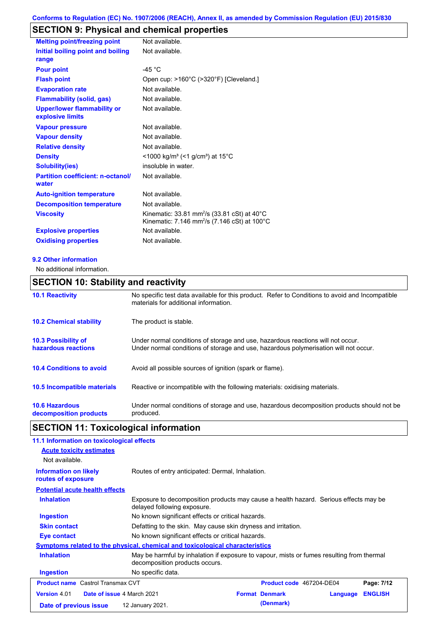# **SECTION 9: Physical and chemical properties**

| <b>Melting point/freezing point</b>                    | Not available.                                                                                                                                       |
|--------------------------------------------------------|------------------------------------------------------------------------------------------------------------------------------------------------------|
| Initial boiling point and boiling<br>range             | Not available.                                                                                                                                       |
| <b>Pour point</b>                                      | -45 °C                                                                                                                                               |
| <b>Flash point</b>                                     | Open cup: >160°C (>320°F) [Cleveland.]                                                                                                               |
| <b>Evaporation rate</b>                                | Not available.                                                                                                                                       |
| <b>Flammability (solid, gas)</b>                       | Not available.                                                                                                                                       |
| <b>Upper/lower flammability or</b><br>explosive limits | Not available.                                                                                                                                       |
| <b>Vapour pressure</b>                                 | Not available.                                                                                                                                       |
| <b>Vapour density</b>                                  | Not available.                                                                                                                                       |
| <b>Relative density</b>                                | Not available.                                                                                                                                       |
| <b>Density</b>                                         | $\leq$ 1000 kg/m <sup>3</sup> (<1 g/cm <sup>3</sup> ) at 15 <sup>°</sup> C                                                                           |
| <b>Solubility(ies)</b>                                 | insoluble in water.                                                                                                                                  |
| <b>Partition coefficient: n-octanol/</b><br>water      | Not available.                                                                                                                                       |
| <b>Auto-ignition temperature</b>                       | Not available.                                                                                                                                       |
| <b>Decomposition temperature</b>                       | Not available.                                                                                                                                       |
| <b>Viscosity</b>                                       | Kinematic: $33.81$ mm <sup>2</sup> /s $(33.81 \text{ cSt})$ at $40^{\circ}$ C<br>Kinematic: 7.146 mm <sup>2</sup> /s (7.146 cSt) at 100 $^{\circ}$ C |
| <b>Explosive properties</b>                            | Not available.                                                                                                                                       |
| <b>Oxidising properties</b>                            | Not available.                                                                                                                                       |

### **9.2 Other information**

No additional information.

# **SECTION 10: Stability and reactivity**

| <b>10.1 Reactivity</b>                            | No specific test data available for this product. Refer to Conditions to avoid and Incompatible<br>materials for additional information.                                |
|---------------------------------------------------|-------------------------------------------------------------------------------------------------------------------------------------------------------------------------|
| <b>10.2 Chemical stability</b>                    | The product is stable.                                                                                                                                                  |
| <b>10.3 Possibility of</b><br>hazardous reactions | Under normal conditions of storage and use, hazardous reactions will not occur.<br>Under normal conditions of storage and use, hazardous polymerisation will not occur. |
| <b>10.4 Conditions to avoid</b>                   | Avoid all possible sources of ignition (spark or flame).                                                                                                                |
| 10.5 Incompatible materials                       | Reactive or incompatible with the following materials: oxidising materials.                                                                                             |
| <b>10.6 Hazardous</b><br>decomposition products   | Under normal conditions of storage and use, hazardous decomposition products should not be<br>produced.                                                                 |

# **SECTION 11: Toxicological information**

| 11.1 Information on toxicological effects                |                                                                                                                             |                                                   |                          |          |                |  |
|----------------------------------------------------------|-----------------------------------------------------------------------------------------------------------------------------|---------------------------------------------------|--------------------------|----------|----------------|--|
| <b>Acute toxicity estimates</b>                          |                                                                                                                             |                                                   |                          |          |                |  |
| Not available.                                           |                                                                                                                             |                                                   |                          |          |                |  |
| <b>Information on likely</b><br>routes of exposure       |                                                                                                                             | Routes of entry anticipated: Dermal, Inhalation.  |                          |          |                |  |
| <b>Potential acute health effects</b>                    |                                                                                                                             |                                                   |                          |          |                |  |
| <b>Inhalation</b>                                        | Exposure to decomposition products may cause a health hazard. Serious effects may be<br>delayed following exposure.         |                                                   |                          |          |                |  |
| <b>Ingestion</b>                                         |                                                                                                                             | No known significant effects or critical hazards. |                          |          |                |  |
| <b>Skin contact</b>                                      | Defatting to the skin. May cause skin dryness and irritation.                                                               |                                                   |                          |          |                |  |
| Eye contact                                              | No known significant effects or critical hazards.                                                                           |                                                   |                          |          |                |  |
|                                                          | <b>Symptoms related to the physical, chemical and toxicological characteristics</b>                                         |                                                   |                          |          |                |  |
| <b>Inhalation</b>                                        | May be harmful by inhalation if exposure to vapour, mists or fumes resulting from thermal<br>decomposition products occurs. |                                                   |                          |          |                |  |
| <b>Ingestion</b>                                         | No specific data.                                                                                                           |                                                   |                          |          |                |  |
| <b>Product name</b> Castrol Transmax CVT                 |                                                                                                                             |                                                   | Product code 467204-DE04 |          | Page: 7/12     |  |
| <b>Version 4.01</b><br><b>Date of issue 4 March 2021</b> |                                                                                                                             |                                                   | <b>Format Denmark</b>    | Language | <b>ENGLISH</b> |  |
| Date of previous issue                                   | 12 January 2021.                                                                                                            |                                                   | (Denmark)                |          |                |  |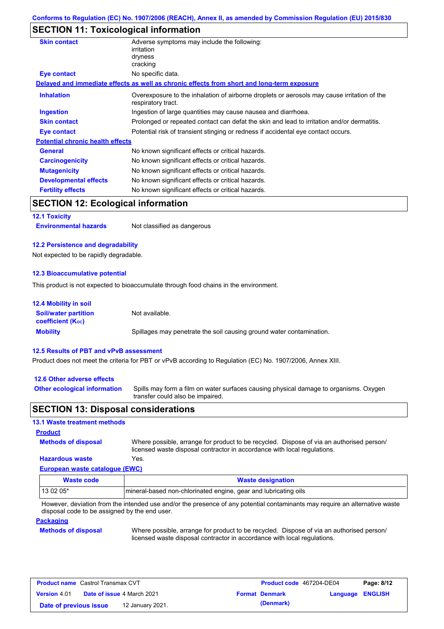## **SECTION 11: Toxicological information**

| <b>Skin contact</b>                       | Adverse symptoms may include the following:<br>irritation<br>dryness<br>cracking                                  |
|-------------------------------------------|-------------------------------------------------------------------------------------------------------------------|
| <b>Eye contact</b>                        | No specific data.                                                                                                 |
|                                           | Delayed and immediate effects as well as chronic effects from short and long-term exposure                        |
| <b>Inhalation</b>                         | Overexposure to the inhalation of airborne droplets or aerosols may cause irritation of the<br>respiratory tract. |
| <b>Ingestion</b>                          | Ingestion of large quantities may cause nausea and diarrhoea.                                                     |
| <b>Skin contact</b>                       | Prolonged or repeated contact can defat the skin and lead to irritation and/or dermatitis.                        |
| <b>Eye contact</b>                        | Potential risk of transient stinging or redness if accidental eye contact occurs.                                 |
| <b>Potential chronic health effects</b>   |                                                                                                                   |
| <b>General</b>                            | No known significant effects or critical hazards.                                                                 |
| <b>Carcinogenicity</b>                    | No known significant effects or critical hazards.                                                                 |
| <b>Mutagenicity</b>                       | No known significant effects or critical hazards.                                                                 |
| <b>Developmental effects</b>              | No known significant effects or critical hazards.                                                                 |
| <b>Fertility effects</b>                  | No known significant effects or critical hazards.                                                                 |
| <b>SECTION 12: Ecological information</b> |                                                                                                                   |
| <b>12.1 Toxicity</b>                      |                                                                                                                   |
| <b>Environmental hazards</b>              | Not classified as dangerous                                                                                       |

### **12.2 Persistence and degradability**

Not expected to be rapidly degradable.

### **12.3 Bioaccumulative potential**

This product is not expected to bioaccumulate through food chains in the environment.

| <b>12.4 Mobility in soil</b>                                  |                                                                      |
|---------------------------------------------------------------|----------------------------------------------------------------------|
| <b>Soil/water partition</b><br>coefficient (K <sub>oc</sub> ) | Not available.                                                       |
| <b>Mobility</b>                                               | Spillages may penetrate the soil causing ground water contamination. |

#### **12.5 Results of PBT and vPvB assessment**

Product does not meet the criteria for PBT or vPvB according to Regulation (EC) No. 1907/2006, Annex XIII.

### **12.6 Other adverse effects**

Spills may form a film on water surfaces causing physical damage to organisms. Oxygen transfer could also be impaired. **Other ecological information**

### **SECTION 13: Disposal considerations**

### **13.1 Waste treatment methods**

# **Methods of disposal Product**

Where possible, arrange for product to be recycled. Dispose of via an authorised person/ licensed waste disposal contractor in accordance with local regulations.

### **European waste catalogue (EWC) Hazardous waste** Yes.

| Waste code | <b>Waste designation</b>                                         |
|------------|------------------------------------------------------------------|
| 13 02 05*  | Imineral-based non-chlorinated engine, gear and lubricating oils |

However, deviation from the intended use and/or the presence of any potential contaminants may require an alternative waste disposal code to be assigned by the end user.

### **Packaging**

#### **Methods of disposal**

Where possible, arrange for product to be recycled. Dispose of via an authorised person/ licensed waste disposal contractor in accordance with local regulations.

| <b>Product name</b> Castrol Transmax CVT                 |  | <b>Product code</b> 467204-DE04 |                       | Page: 8/12              |  |
|----------------------------------------------------------|--|---------------------------------|-----------------------|-------------------------|--|
| <b>Date of issue 4 March 2021</b><br><b>Version 4.01</b> |  |                                 | <b>Format Denmark</b> | <b>Language ENGLISH</b> |  |
| Date of previous issue<br>12 January 2021.               |  |                                 | (Denmark)             |                         |  |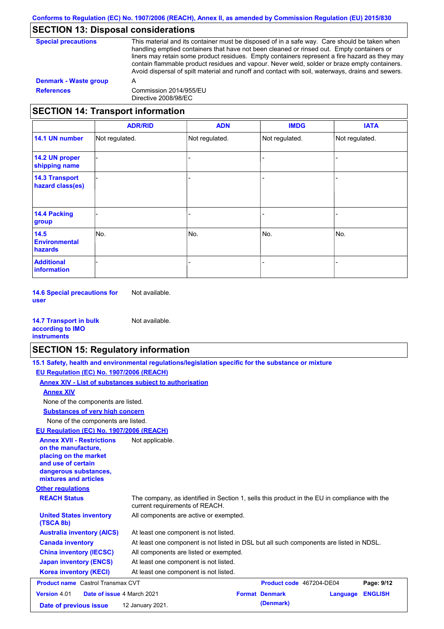# **SECTION 13: Disposal considerations**

| <b>Special precautions</b>        | This material and its container must be disposed of in a safe way. Care should be taken when<br>handling emptied containers that have not been cleaned or rinsed out. Empty containers or<br>liners may retain some product residues. Empty containers represent a fire hazard as they may<br>contain flammable product residues and vapour. Never weld, solder or braze empty containers.<br>Avoid dispersal of spilt material and runoff and contact with soil, waterways, drains and sewers. |
|-----------------------------------|-------------------------------------------------------------------------------------------------------------------------------------------------------------------------------------------------------------------------------------------------------------------------------------------------------------------------------------------------------------------------------------------------------------------------------------------------------------------------------------------------|
| Denmark - Waste group             | А                                                                                                                                                                                                                                                                                                                                                                                                                                                                                               |
| <b>References</b>                 | Commission 2014/955/EU<br>Directive 2008/98/EC                                                                                                                                                                                                                                                                                                                                                                                                                                                  |
| SECTION 14: Transnort information |                                                                                                                                                                                                                                                                                                                                                                                                                                                                                                 |

# **SECTION 14: Transport information**

|                                           | <b>ADR/RID</b> | <b>ADN</b>     | <b>IMDG</b>    | <b>IATA</b>    |
|-------------------------------------------|----------------|----------------|----------------|----------------|
| 14.1 UN number                            | Not regulated. | Not regulated. | Not regulated. | Not regulated. |
| 14.2 UN proper<br>shipping name           |                |                |                |                |
| <b>14.3 Transport</b><br>hazard class(es) |                |                |                |                |
| <b>14.4 Packing</b><br>group              |                |                |                |                |
| 14.5<br><b>Environmental</b><br>hazards   | No.            | No.            | No.            | No.            |
| <b>Additional</b><br>information          |                |                |                |                |

**14.6 Special precautions for user** Not available.

| <b>14.7 Transport in bulk</b> | Not available. |
|-------------------------------|----------------|
| according to IMO              |                |
| <b>instruments</b>            |                |

### **SECTION 15: Regulatory information**

**15.1 Safety, health and environmental regulations/legislation specific for the substance or mixture**

**EU Regulation (EC) No. 1907/2006 (REACH)**

|                                                                                                                                                          | <b>Annex XIV - List of substances subject to authorisation</b>                                                                 |                          |          |                |
|----------------------------------------------------------------------------------------------------------------------------------------------------------|--------------------------------------------------------------------------------------------------------------------------------|--------------------------|----------|----------------|
| <b>Annex XIV</b>                                                                                                                                         |                                                                                                                                |                          |          |                |
| None of the components are listed.                                                                                                                       |                                                                                                                                |                          |          |                |
| <b>Substances of very high concern</b>                                                                                                                   |                                                                                                                                |                          |          |                |
| None of the components are listed.                                                                                                                       |                                                                                                                                |                          |          |                |
| EU Regulation (EC) No. 1907/2006 (REACH)                                                                                                                 |                                                                                                                                |                          |          |                |
| <b>Annex XVII - Restrictions</b><br>on the manufacture,<br>placing on the market<br>and use of certain<br>dangerous substances,<br>mixtures and articles | Not applicable.                                                                                                                |                          |          |                |
| <b>Other regulations</b>                                                                                                                                 |                                                                                                                                |                          |          |                |
| <b>REACH Status</b>                                                                                                                                      | The company, as identified in Section 1, sells this product in the EU in compliance with the<br>current requirements of REACH. |                          |          |                |
| <b>United States inventory</b><br>(TSCA 8b)                                                                                                              | All components are active or exempted.                                                                                         |                          |          |                |
| <b>Australia inventory (AICS)</b>                                                                                                                        | At least one component is not listed.                                                                                          |                          |          |                |
| <b>Canada inventory</b>                                                                                                                                  | At least one component is not listed in DSL but all such components are listed in NDSL.                                        |                          |          |                |
| <b>China inventory (IECSC)</b>                                                                                                                           | All components are listed or exempted.                                                                                         |                          |          |                |
| <b>Japan inventory (ENCS)</b>                                                                                                                            | At least one component is not listed.                                                                                          |                          |          |                |
| <b>Korea inventory (KECI)</b>                                                                                                                            | At least one component is not listed.                                                                                          |                          |          |                |
| <b>Product name</b> Castrol Transmax CVT                                                                                                                 |                                                                                                                                | Product code 467204-DE04 |          | Page: 9/12     |
| Version 4.01<br>Date of issue 4 March 2021                                                                                                               |                                                                                                                                | <b>Format Denmark</b>    | Language | <b>ENGLISH</b> |
| Date of previous issue                                                                                                                                   | 12 January 2021.                                                                                                               | (Denmark)                |          |                |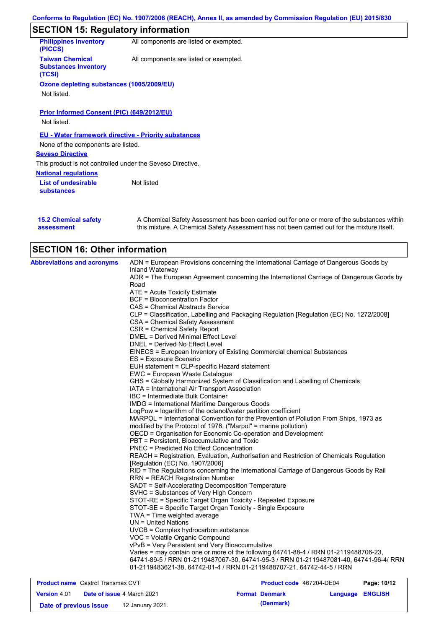|                                                                 | Conforms to Regulation (EC) No. 1907/2006 (REACH), Annex II, as amended by Commission Regulation (EU) 2015/830 |
|-----------------------------------------------------------------|----------------------------------------------------------------------------------------------------------------|
| <b>SECTION 15: Regulatory information</b>                       |                                                                                                                |
| <b>Philippines inventory</b><br>(PICCS)                         | All components are listed or exempted.                                                                         |
| <b>Taiwan Chemical</b><br><b>Substances Inventory</b><br>(TCSI) | All components are listed or exempted.                                                                         |
| Ozone depleting substances (1005/2009/EU)<br>Not listed.        |                                                                                                                |
| <b>Prior Informed Consent (PIC) (649/2012/EU)</b>               |                                                                                                                |
| Not listed.                                                     |                                                                                                                |
|                                                                 | <b>EU - Water framework directive - Priority substances</b>                                                    |
| None of the components are listed.                              |                                                                                                                |
| <b>Seveso Directive</b>                                         |                                                                                                                |
| This product is not controlled under the Seveso Directive.      |                                                                                                                |
| <b>National regulations</b>                                     |                                                                                                                |
| <b>List of undesirable</b><br><b>substances</b>                 | Not listed                                                                                                     |
|                                                                 |                                                                                                                |

| <b>15.2 Chemical safety</b> | A Chemical Safety Assessment has been carried out for one or more of the substances within  |
|-----------------------------|---------------------------------------------------------------------------------------------|
| assessment                  | this mixture. A Chemical Safety Assessment has not been carried out for the mixture itself. |

| <b>Abbreviations and acronyms</b>        | ADN = European Provisions concerning the International Carriage of Dangerous Goods by                                                                          |
|------------------------------------------|----------------------------------------------------------------------------------------------------------------------------------------------------------------|
|                                          | Inland Waterway<br>ADR = The European Agreement concerning the International Carriage of Dangerous Goods by                                                    |
|                                          | Road                                                                                                                                                           |
|                                          | ATE = Acute Toxicity Estimate                                                                                                                                  |
|                                          | <b>BCF</b> = Bioconcentration Factor                                                                                                                           |
|                                          | CAS = Chemical Abstracts Service                                                                                                                               |
|                                          | CLP = Classification, Labelling and Packaging Regulation [Regulation (EC) No. 1272/2008]                                                                       |
|                                          | CSA = Chemical Safety Assessment                                                                                                                               |
|                                          | CSR = Chemical Safety Report                                                                                                                                   |
|                                          | DMEL = Derived Minimal Effect Level                                                                                                                            |
|                                          | DNEL = Derived No Effect Level                                                                                                                                 |
|                                          | EINECS = European Inventory of Existing Commercial chemical Substances                                                                                         |
|                                          | ES = Exposure Scenario                                                                                                                                         |
|                                          | EUH statement = CLP-specific Hazard statement                                                                                                                  |
|                                          | EWC = European Waste Catalogue                                                                                                                                 |
|                                          | GHS = Globally Harmonized System of Classification and Labelling of Chemicals                                                                                  |
|                                          | IATA = International Air Transport Association                                                                                                                 |
|                                          | IBC = Intermediate Bulk Container                                                                                                                              |
|                                          | <b>IMDG = International Maritime Dangerous Goods</b>                                                                                                           |
|                                          | LogPow = logarithm of the octanol/water partition coefficient                                                                                                  |
|                                          | MARPOL = International Convention for the Prevention of Pollution From Ships, 1973 as                                                                          |
|                                          | modified by the Protocol of 1978. ("Marpol" = marine pollution)                                                                                                |
|                                          | OECD = Organisation for Economic Co-operation and Development<br>PBT = Persistent, Bioaccumulative and Toxic                                                   |
|                                          | PNEC = Predicted No Effect Concentration                                                                                                                       |
|                                          | REACH = Registration, Evaluation, Authorisation and Restriction of Chemicals Regulation                                                                        |
|                                          | [Regulation (EC) No. 1907/2006]                                                                                                                                |
|                                          | RID = The Regulations concerning the International Carriage of Dangerous Goods by Rail                                                                         |
|                                          | <b>RRN = REACH Registration Number</b>                                                                                                                         |
|                                          | SADT = Self-Accelerating Decomposition Temperature                                                                                                             |
|                                          | SVHC = Substances of Very High Concern                                                                                                                         |
|                                          | STOT-RE = Specific Target Organ Toxicity - Repeated Exposure                                                                                                   |
|                                          | STOT-SE = Specific Target Organ Toxicity - Single Exposure                                                                                                     |
|                                          | TWA = Time weighted average                                                                                                                                    |
|                                          | UN = United Nations                                                                                                                                            |
|                                          | UVCB = Complex hydrocarbon substance                                                                                                                           |
|                                          | VOC = Volatile Organic Compound                                                                                                                                |
|                                          | vPvB = Very Persistent and Very Bioaccumulative                                                                                                                |
|                                          | Varies = may contain one or more of the following 64741-88-4 / RRN 01-2119488706-23,                                                                           |
|                                          | 64741-89-5 / RRN 01-2119487067-30, 64741-95-3 / RRN 01-2119487081-40, 64741-96-4/ RRN<br>01-2119483621-38, 64742-01-4 / RRN 01-2119488707-21, 64742-44-5 / RRN |
|                                          |                                                                                                                                                                |
| <b>Product name</b> Castrol Transmay CVT | <b>Product code</b> 467204-DE04<br>P <sub>2</sub> na: 10/12                                                                                                    |

| <b>Product name</b> Castrol Transmax CVT |                                   |                  | <b>Product code</b> 467204-DE04 |                       | Page: 10/12             |  |
|------------------------------------------|-----------------------------------|------------------|---------------------------------|-----------------------|-------------------------|--|
| <b>Version 4.01</b>                      | <b>Date of issue 4 March 2021</b> |                  |                                 | <b>Format Denmark</b> | <b>Language ENGLISH</b> |  |
| Date of previous issue                   |                                   | 12 January 2021. |                                 | (Denmark)             |                         |  |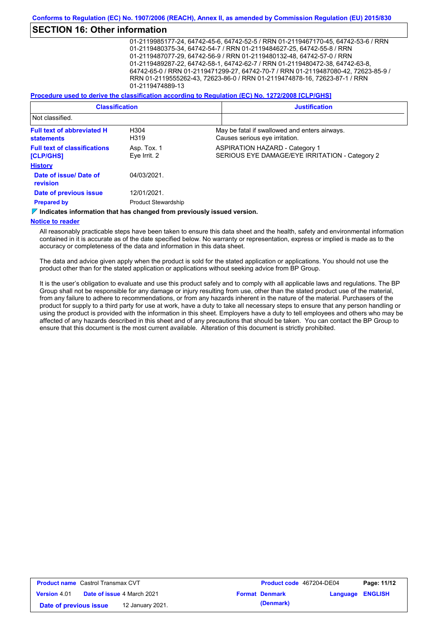### **SECTION 16: Other information**

01-2119985177-24, 64742-45-6, 64742-52-5 / RRN 01-2119467170-45, 64742-53-6 / RRN 01-2119480375-34, 64742-54-7 / RRN 01-2119484627-25, 64742-55-8 / RRN 01-2119487077-29, 64742-56-9 / RRN 01-2119480132-48, 64742-57-0 / RRN 01-2119489287-22, 64742-58-1, 64742-62-7 / RRN 01-2119480472-38, 64742-63-8, 64742-65-0 / RRN 01-2119471299-27, 64742-70-7 / RRN 01-2119487080-42, 72623-85-9 / RRN 01-2119555262-43, 72623-86-0 / RRN 01-2119474878-16, 72623-87-1 / RRN 01-2119474889-13

#### **Procedure used to derive the classification according to Regulation (EC) No. 1272/2008 [CLP/GHS]**

| <b>Classification</b>                                  |                                           | <b>Justification</b> |                                                                                         |  |
|--------------------------------------------------------|-------------------------------------------|----------------------|-----------------------------------------------------------------------------------------|--|
| Not classified.                                        |                                           |                      |                                                                                         |  |
| <b>Full text of abbreviated H</b><br><b>statements</b> | H304<br>H319                              |                      | May be fatal if swallowed and enters airways.<br>Causes serious eye irritation.         |  |
| <b>Full text of classifications</b><br>[CLP/GHS]       | Asp. Tox. 1<br>Eye Irrit. 2               |                      | <b>ASPIRATION HAZARD - Category 1</b><br>SERIOUS EYE DAMAGE/EYE IRRITATION - Category 2 |  |
| <b>History</b>                                         |                                           |                      |                                                                                         |  |
| Date of issue/ Date of<br>revision                     | 04/03/2021                                |                      |                                                                                         |  |
| Date of previous issue<br><b>Prepared by</b>           | 12/01/2021.<br><b>Product Stewardship</b> |                      |                                                                                         |  |

**Indicates information that has changed from previously issued version.**

### **Notice to reader**

All reasonably practicable steps have been taken to ensure this data sheet and the health, safety and environmental information contained in it is accurate as of the date specified below. No warranty or representation, express or implied is made as to the accuracy or completeness of the data and information in this data sheet.

The data and advice given apply when the product is sold for the stated application or applications. You should not use the product other than for the stated application or applications without seeking advice from BP Group.

It is the user's obligation to evaluate and use this product safely and to comply with all applicable laws and regulations. The BP Group shall not be responsible for any damage or injury resulting from use, other than the stated product use of the material, from any failure to adhere to recommendations, or from any hazards inherent in the nature of the material. Purchasers of the product for supply to a third party for use at work, have a duty to take all necessary steps to ensure that any person handling or using the product is provided with the information in this sheet. Employers have a duty to tell employees and others who may be affected of any hazards described in this sheet and of any precautions that should be taken. You can contact the BP Group to ensure that this document is the most current available. Alteration of this document is strictly prohibited.

| <b>Product name</b> Castrol Transmax CVT |                                   | <b>Product code</b> 467204-DE04 |                       | Page: 11/12             |  |
|------------------------------------------|-----------------------------------|---------------------------------|-----------------------|-------------------------|--|
| <b>Version 4.01</b>                      | <b>Date of issue 4 March 2021</b> |                                 | <b>Format Denmark</b> | <b>Language ENGLISH</b> |  |
| Date of previous issue                   | 12 January 2021.                  |                                 | (Denmark)             |                         |  |